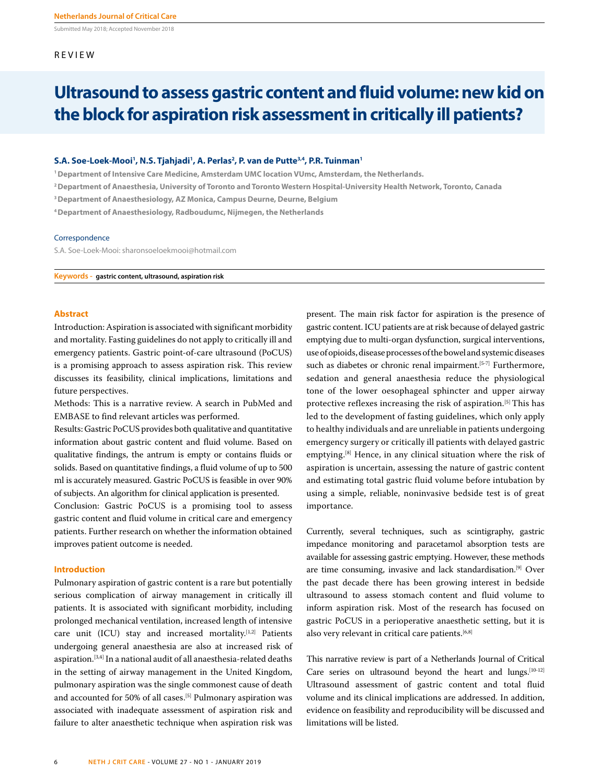Submitted May 2018; Accepted November 2018

#### REVIEW

# **Ultrasound to assess gastric content and fluid volume: new kid on the block for aspiration risk assessment in critically ill patients?**

#### **S.A. Soe-Loek-Mooi1 , N.S. Tjahjadi1 , A. Perlas2 , P. van de Putte3,4, P.R. Tuinman1**

**1 Department of Intensive Care Medicine, Amsterdam UMC location VUmc, Amsterdam, the Netherlands.**

**2 Department of Anaesthesia, University of Toronto and Toronto Western Hospital-University Health Network, Toronto, Canada** 

**3 Department of Anaesthesiology, AZ Monica, Campus Deurne, Deurne, Belgium**

**4 Department of Anaesthesiology, Radboudumc, Nijmegen, the Netherlands**

#### Correspondence

S.A. Soe-Loek-Mooi: sharonsoeloekmooi@hotmail.com

**Keywords - gastric content, ultrasound, aspiration risk**

#### **Abstract**

Introduction: Aspiration is associated with significant morbidity and mortality. Fasting guidelines do not apply to critically ill and emergency patients. Gastric point-of-care ultrasound (PoCUS) is a promising approach to assess aspiration risk. This review discusses its feasibility, clinical implications, limitations and future perspectives.

Methods: This is a narrative review. A search in PubMed and EMBASE to find relevant articles was performed.

Results: Gastric PoCUS provides both qualitative and quantitative information about gastric content and fluid volume. Based on qualitative findings, the antrum is empty or contains fluids or solids. Based on quantitative findings, a fluid volume of up to 500 ml is accurately measured. Gastric PoCUS is feasible in over 90% of subjects. An algorithm for clinical application is presented.

Conclusion: Gastric PoCUS is a promising tool to assess gastric content and fluid volume in critical care and emergency patients. Further research on whether the information obtained improves patient outcome is needed.

#### **Introduction**

Pulmonary aspiration of gastric content is a rare but potentially serious complication of airway management in critically ill patients. It is associated with significant morbidity, including prolonged mechanical ventilation, increased length of intensive care unit (ICU) stay and increased mortality.<sup>[1,2]</sup> Patients undergoing general anaesthesia are also at increased risk of aspiration.[3,4] In a national audit of all anaesthesia-related deaths in the setting of airway management in the United Kingdom, pulmonary aspiration was the single commonest cause of death and accounted for 50% of all cases.<sup>[5]</sup> Pulmonary aspiration was associated with inadequate assessment of aspiration risk and failure to alter anaesthetic technique when aspiration risk was

present. The main risk factor for aspiration is the presence of gastric content. ICU patients are at risk because of delayed gastric emptying due to multi-organ dysfunction, surgical interventions, use of opioids, disease processes of the bowel and systemic diseases such as diabetes or chronic renal impairment.<sup>[5-7]</sup> Furthermore, sedation and general anaesthesia reduce the physiological tone of the lower oesophageal sphincter and upper airway protective reflexes increasing the risk of aspiration.<sup>[5]</sup> This has led to the development of fasting guidelines, which only apply to healthy individuals and are unreliable in patients undergoing emergency surgery or critically ill patients with delayed gastric emptying.<sup>[8]</sup> Hence, in any clinical situation where the risk of aspiration is uncertain, assessing the nature of gastric content and estimating total gastric fluid volume before intubation by using a simple, reliable, noninvasive bedside test is of great importance.

Currently, several techniques, such as scintigraphy, gastric impedance monitoring and paracetamol absorption tests are available for assessing gastric emptying. However, these methods are time consuming, invasive and lack standardisation.[9] Over the past decade there has been growing interest in bedside ultrasound to assess stomach content and fluid volume to inform aspiration risk. Most of the research has focused on gastric PoCUS in a perioperative anaesthetic setting, but it is also very relevant in critical care patients.<sup>[6,8]</sup>

This narrative review is part of a Netherlands Journal of Critical Care series on ultrasound beyond the heart and lungs.<sup>[10-12]</sup> Ultrasound assessment of gastric content and total fluid volume and its clinical implications are addressed. In addition, evidence on feasibility and reproducibility will be discussed and limitations will be listed.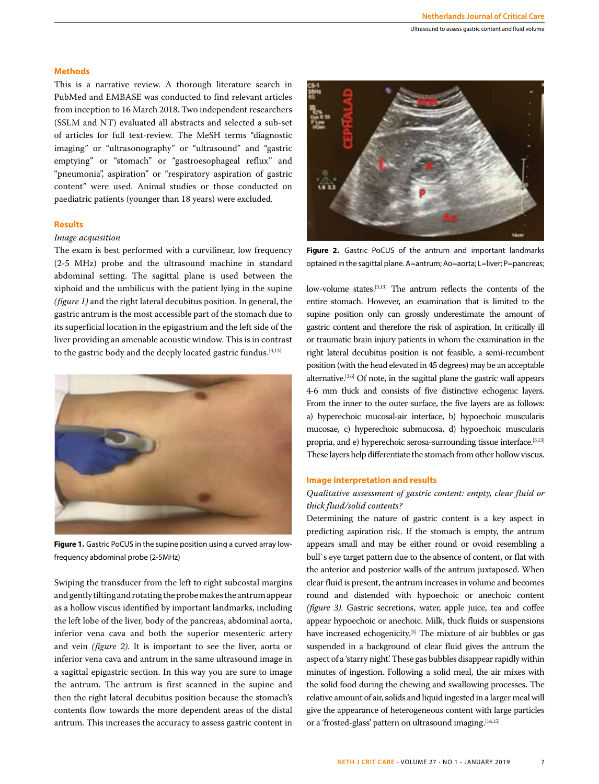#### **Methods**

This is a narrative review. A thorough literature search in PubMed and EMBASE was conducted to find relevant articles from inception to 16 March 2018. Two independent researchers (SSLM and NT) evaluated all abstracts and selected a sub-set of articles for full text-review. The MeSH terms "diagnostic imaging" or "ultrasonography" or "ultrasound" and "gastric emptying" or "stomach" or "gastroesophageal reflux" and "pneumonia", aspiration" or "respiratory aspiration of gastric content" were used. Animal studies or those conducted on paediatric patients (younger than 18 years) were excluded.

#### **Results**

#### *Image acquisition*

The exam is best performed with a curvilinear, low frequency (2-5 MHz) probe and the ultrasound machine in standard abdominal setting. The sagittal plane is used between the xiphoid and the umbilicus with the patient lying in the supine *(figure 1)* and the right lateral decubitus position. In general, the gastric antrum is the most accessible part of the stomach due to its superficial location in the epigastrium and the left side of the liver providing an amenable acoustic window. This is in contrast to the gastric body and the deeply located gastric fundus.<sup>[3,13]</sup>



**Figure 1.** Gastric PoCUS in the supine position using a curved array lowfrequency abdominal probe (2-5MHz)

Swiping the transducer from the left to right subcostal margins and gently tilting and rotating the probe makes the antrum appear as a hollow viscus identified by important landmarks, including the left lobe of the liver, body of the pancreas, abdominal aorta, inferior vena cava and both the superior mesenteric artery and vein *(figure 2)*. It is important to see the liver, aorta or inferior vena cava and antrum in the same ultrasound image in a sagittal epigastric section. In this way you are sure to image the antrum. The antrum is first scanned in the supine and then the right lateral decubitus position because the stomach's contents flow towards the more dependent areas of the distal antrum. This increases the accuracy to assess gastric content in



**Figure 2.** Gastric PoCUS of the antrum and important landmarks optained in the sagittal plane. A=antrum; Ao=aorta; L=liver; P=pancreas;

low-volume states.[3,13] The antrum reflects the contents of the entire stomach. However, an examination that is limited to the supine position only can grossly underestimate the amount of gastric content and therefore the risk of aspiration. In critically ill or traumatic brain injury patients in whom the examination in the right lateral decubitus position is not feasible, a semi-recumbent position (with the head elevated in 45 degrees) may be an acceptable alternative.[3,6] Of note, in the sagittal plane the gastric wall appears 4-6 mm thick and consists of five distinctive echogenic layers. From the inner to the outer surface, the five layers are as follows: a) hyperechoic mucosal-air interface, b) hypoechoic muscularis mucosae, c) hyperechoic submucosa, d) hypoechoic muscularis propria, and e) hyperechoic serosa-surrounding tissue interface.[3,13] These layers help differentiate the stomach from other hollow viscus.

#### **Image interpretation and results**

## *Qualitative assessment of gastric content: empty, clear fluid or thick fluid/solid contents?*

Determining the nature of gastric content is a key aspect in predicting aspiration risk. If the stomach is empty, the antrum appears small and may be either round or ovoid resembling a bull`s eye target pattern due to the absence of content, or flat with the anterior and posterior walls of the antrum juxtaposed. When clear fluid is present, the antrum increases in volume and becomes round and distended with hypoechoic or anechoic content *(figure 3)*. Gastric secretions, water, apple juice, tea and coffee appear hypoechoic or anechoic. Milk, thick fluids or suspensions have increased echogenicity.<sup>[3]</sup> The mixture of air bubbles or gas suspended in a background of clear fluid gives the antrum the aspect of a 'starry night'. These gas bubbles disappear rapidly within minutes of ingestion. Following a solid meal, the air mixes with the solid food during the chewing and swallowing processes. The relative amount of air, solids and liquid ingested in a larger meal will give the appearance of heterogeneous content with large particles or a 'frosted-glass' pattern on ultrasound imaging.<sup>[14,15]</sup>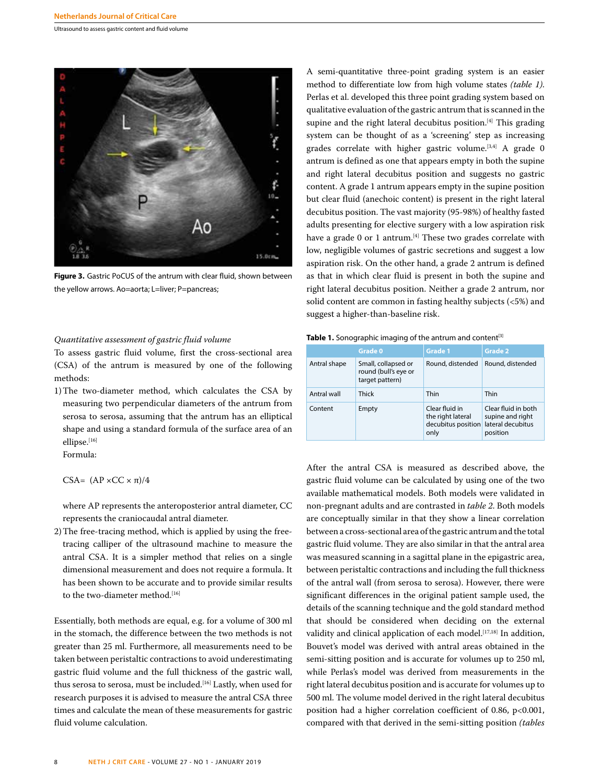Ultrasound to assess gastric content and fluid volume



**Figure 3.** Gastric PoCUS of the antrum with clear fluid, shown between the yellow arrows. Ao=aorta; L=liver; P=pancreas;

## *Quantitative assessment of gastric fluid volume*

To assess gastric fluid volume, first the cross-sectional area (CSA) of the antrum is measured by one of the following methods:

1) The two-diameter method, which calculates the CSA by measuring two perpendicular diameters of the antrum from serosa to serosa, assuming that the antrum has an elliptical shape and using a standard formula of the surface area of an ellipse.[16]

Formula:

CSA=  $(AP \times CC \times \pi)/4$ 

 where AP represents the anteroposterior antral diameter, CC represents the craniocaudal antral diameter.

2) The free-tracing method, which is applied by using the freetracing calliper of the ultrasound machine to measure the antral CSA. It is a simpler method that relies on a single dimensional measurement and does not require a formula. It has been shown to be accurate and to provide similar results to the two-diameter method.<sup>[16]</sup>

Essentially, both methods are equal, e.g. for a volume of 300 ml in the stomach, the difference between the two methods is not greater than 25 ml. Furthermore, all measurements need to be taken between peristaltic contractions to avoid underestimating gastric fluid volume and the full thickness of the gastric wall, thus serosa to serosa, must be included.<sup>[16]</sup> Lastly, when used for research purposes it is advised to measure the antral CSA three times and calculate the mean of these measurements for gastric fluid volume calculation.

A semi-quantitative three-point grading system is an easier method to differentiate low from high volume states *(table 1)*. Perlas et al. developed this three point grading system based on qualitative evaluation of the gastric antrum that is scanned in the supine and the right lateral decubitus position.<sup>[4]</sup> This grading system can be thought of as a 'screening' step as increasing grades correlate with higher gastric volume.<sup>[3,4]</sup> A grade 0 antrum is defined as one that appears empty in both the supine and right lateral decubitus position and suggests no gastric content. A grade 1 antrum appears empty in the supine position but clear fluid (anechoic content) is present in the right lateral decubitus position. The vast majority (95-98%) of healthy fasted adults presenting for elective surgery with a low aspiration risk have a grade 0 or 1 antrum.<sup>[4]</sup> These two grades correlate with low, negligible volumes of gastric secretions and suggest a low aspiration risk. On the other hand, a grade 2 antrum is defined as that in which clear fluid is present in both the supine and right lateral decubitus position. Neither a grade 2 antrum, nor solid content are common in fasting healthy subjects (<5%) and suggest a higher-than-baseline risk.

**Table 1.** Sonographic imaging of the antrum and content<sup>[3]</sup>

|              | Grade 0                                                        | Grade 1                                                                             | Grade 2                                             |  |  |
|--------------|----------------------------------------------------------------|-------------------------------------------------------------------------------------|-----------------------------------------------------|--|--|
| Antral shape | Small, collapsed or<br>round (bull's eye or<br>target pattern) | Round, distended                                                                    | Round, distended                                    |  |  |
| Antral wall  | Thick                                                          | Thin                                                                                | Thin                                                |  |  |
| Content      | Empty                                                          | Clear fluid in<br>the right lateral<br>decubitus position lateral decubitus<br>only | Clear fluid in both<br>supine and right<br>position |  |  |

After the antral CSA is measured as described above, the gastric fluid volume can be calculated by using one of the two available mathematical models. Both models were validated in non-pregnant adults and are contrasted in *table 2*. Both models are conceptually similar in that they show a linear correlation between a cross-sectional area of the gastric antrum and the total gastric fluid volume. They are also similar in that the antral area was measured scanning in a sagittal plane in the epigastric area, between peristaltic contractions and including the full thickness of the antral wall (from serosa to serosa). However, there were significant differences in the original patient sample used, the details of the scanning technique and the gold standard method that should be considered when deciding on the external validity and clinical application of each model.<sup>[17,18]</sup> In addition, Bouvet's model was derived with antral areas obtained in the semi-sitting position and is accurate for volumes up to 250 ml, while Perlas's model was derived from measurements in the right lateral decubitus position and is accurate for volumes up to 500 ml. The volume model derived in the right lateral decubitus position had a higher correlation coefficient of 0.86, p<0.001, compared with that derived in the semi-sitting position *(tables*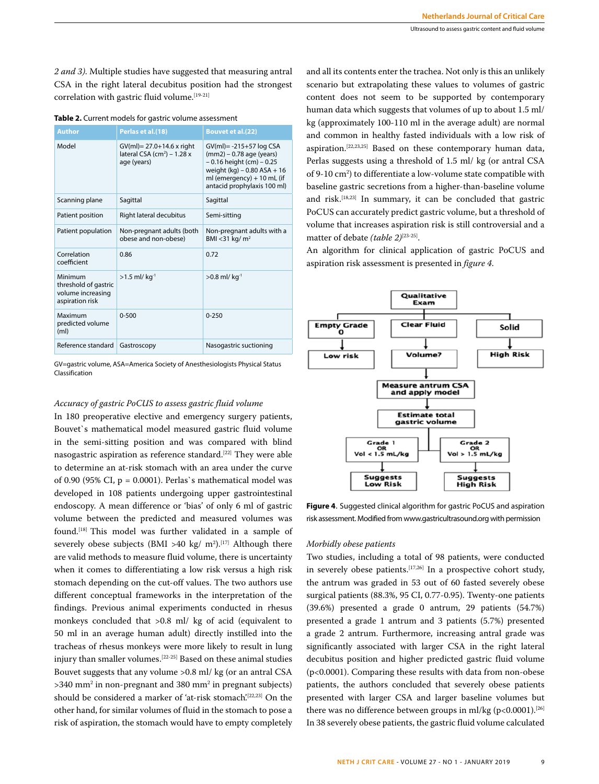*2 and 3)*. Multiple studies have suggested that measuring antral CSA in the right lateral decubitus position had the strongest correlation with gastric fluid volume.<sup>[19-21]</sup>

|  | Table 2. Current models for gastric volume assessment |
|--|-------------------------------------------------------|
|--|-------------------------------------------------------|

| <b>Author</b>                                                           | Perlas et al.(18)                                                                     | <b>Bouvet et al.(22)</b>                                                                                                                                                               |
|-------------------------------------------------------------------------|---------------------------------------------------------------------------------------|----------------------------------------------------------------------------------------------------------------------------------------------------------------------------------------|
| Model                                                                   | GV(ml)= 27.0+14.6 x right<br>lateral CSA (cm <sup>2</sup> ) – 1.28 $x$<br>age (years) | $GV(ml) = -215+57 \log CSA$<br>$(mm2) - 0.78$ age (years)<br>$-0.16$ height (cm) $-0.25$<br>weight $(kq) - 0.80$ ASA + 16<br>ml (emergency) + 10 mL (if<br>antacid prophylaxis 100 ml) |
| Scanning plane                                                          | Sagittal                                                                              | Sagittal                                                                                                                                                                               |
| Patient position                                                        | Right lateral decubitus                                                               | Semi-sitting                                                                                                                                                                           |
| Patient population                                                      | Non-pregnant adults (both<br>obese and non-obese)                                     | Non-pregnant adults with a<br>BMI < 31 kg/ $m2$                                                                                                                                        |
| Correlation<br>coefficient                                              | 0.86                                                                                  | 0.72                                                                                                                                                                                   |
| Minimum<br>threshold of gastric<br>volume increasing<br>aspiration risk | $>1.5$ ml/kg <sup>-1</sup>                                                            | $>0.8$ ml/kg <sup>-1</sup>                                                                                                                                                             |
| Maximum<br>predicted volume<br>(m <sub>l</sub> )                        | $0 - 500$                                                                             | $0 - 250$                                                                                                                                                                              |
| Reference standard                                                      | Gastroscopy                                                                           | Nasogastric suctioning                                                                                                                                                                 |

GV=gastric volume, ASA=America Society of Anesthesiologists Physical Status Classification

## *Accuracy of gastric PoCUS to assess gastric fluid volume*

In 180 preoperative elective and emergency surgery patients, Bouvet`s mathematical model measured gastric fluid volume in the semi-sitting position and was compared with blind nasogastric aspiration as reference standard.<sup>[22]</sup> They were able to determine an at-risk stomach with an area under the curve of 0.90 (95% CI,  $p = 0.0001$ ). Perlas's mathematical model was developed in 108 patients undergoing upper gastrointestinal endoscopy. A mean difference or 'bias' of only 6 ml of gastric volume between the predicted and measured volumes was found.[18] This model was further validated in a sample of severely obese subjects (BMI >40 kg/  $m^2$ ).<sup>[17]</sup> Although there are valid methods to measure fluid volume, there is uncertainty when it comes to differentiating a low risk versus a high risk stomach depending on the cut-off values. The two authors use different conceptual frameworks in the interpretation of the findings. Previous animal experiments conducted in rhesus monkeys concluded that >0.8 ml/ kg of acid (equivalent to 50 ml in an average human adult) directly instilled into the tracheas of rhesus monkeys were more likely to result in lung injury than smaller volumes.[22-25] Based on these animal studies Bouvet suggests that any volume >0.8 ml/ kg (or an antral CSA >340 mm2 in non-pregnant and 380 mm2 in pregnant subjects) should be considered a marker of 'at-risk stomach'.<sup>[22,23]</sup> On the other hand, for similar volumes of fluid in the stomach to pose a risk of aspiration, the stomach would have to empty completely

and all its contents enter the trachea. Not only is this an unlikely scenario but extrapolating these values to volumes of gastric content does not seem to be supported by contemporary human data which suggests that volumes of up to about 1.5 ml/ kg (approximately 100-110 ml in the average adult) are normal and common in healthy fasted individuals with a low risk of aspiration.[22,23,25] Based on these contemporary human data, Perlas suggests using a threshold of 1.5 ml/ kg (or antral CSA of 9-10 cm2 ) to differentiate a low-volume state compatible with baseline gastric secretions from a higher-than-baseline volume and risk.[18,23] In summary, it can be concluded that gastric PoCUS can accurately predict gastric volume, but a threshold of volume that increases aspiration risk is still controversial and a matter of debate *(table 2)*[23-25].

An algorithm for clinical application of gastric PoCUS and aspiration risk assessment is presented in *figure 4*.



**Figure 4**. Suggested clinical algorithm for gastric PoCUS and aspiration risk assessment. Modified from www.gastricultrasound.org with permission

## *Morbidly obese patients*

Two studies, including a total of 98 patients, were conducted in severely obese patients.<sup>[17,26]</sup> In a prospective cohort study, the antrum was graded in 53 out of 60 fasted severely obese surgical patients (88.3%, 95 CI, 0.77-0.95). Twenty-one patients (39.6%) presented a grade 0 antrum, 29 patients (54.7%) presented a grade 1 antrum and 3 patients (5.7%) presented a grade 2 antrum. Furthermore, increasing antral grade was significantly associated with larger CSA in the right lateral decubitus position and higher predicted gastric fluid volume (p<0.0001). Comparing these results with data from non-obese patients, the authors concluded that severely obese patients presented with larger CSA and larger baseline volumes but there was no difference between groups in ml/kg (p<0.0001).<sup>[26]</sup> In 38 severely obese patients, the gastric fluid volume calculated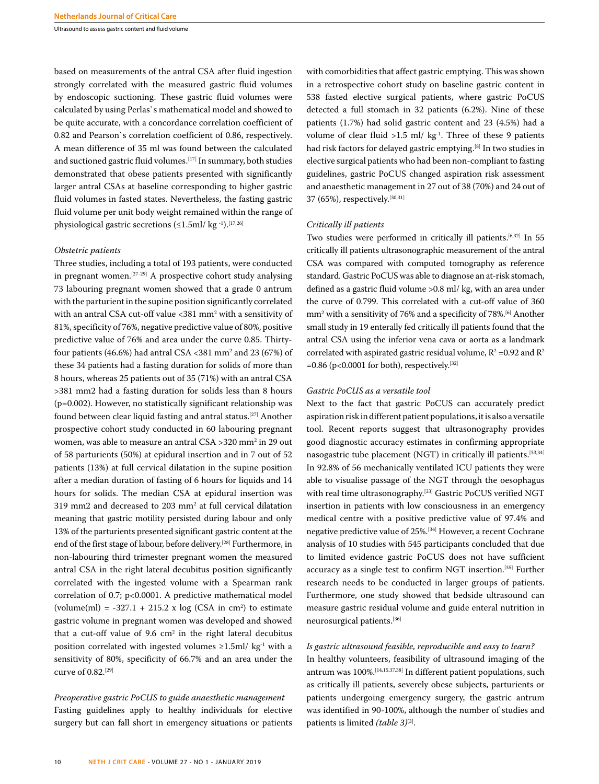Ultrasound to assess gastric content and fluid volume

based on measurements of the antral CSA after fluid ingestion strongly correlated with the measured gastric fluid volumes by endoscopic suctioning. These gastric fluid volumes were calculated by using Perlas`s mathematical model and showed to be quite accurate, with a concordance correlation coefficient of 0.82 and Pearson`s correlation coefficient of 0.86, respectively. A mean difference of 35 ml was found between the calculated and suctioned gastric fluid volumes.<sup>[17]</sup> In summary, both studies demonstrated that obese patients presented with significantly larger antral CSAs at baseline corresponding to higher gastric fluid volumes in fasted states. Nevertheless, the fasting gastric fluid volume per unit body weight remained within the range of physiological gastric secretions  $(\leq 1.5 \text{ml}/ \text{kg}^{-1})$ .<sup>[17,26]</sup>

#### *Obstetric patients*

Three studies, including a total of 193 patients, were conducted in pregnant women.<sup>[27-29]</sup> A prospective cohort study analysing 73 labouring pregnant women showed that a grade 0 antrum with the parturient in the supine position significantly correlated with an antral CSA cut-off value <381 mm2 with a sensitivity of 81%, specificity of 76%, negative predictive value of 80%, positive predictive value of 76% and area under the curve 0.85. Thirtyfour patients (46.6%) had antral  $\text{CSA} < 381 \text{ mm}^2$  and 23 (67%) of these 34 patients had a fasting duration for solids of more than 8 hours, whereas 25 patients out of 35 (71%) with an antral CSA >381 mm2 had a fasting duration for solids less than 8 hours (p=0.002). However, no statistically significant relationship was found between clear liquid fasting and antral status.[27] Another prospective cohort study conducted in 60 labouring pregnant women, was able to measure an antral CSA >320 mm2 in 29 out of 58 parturients (50%) at epidural insertion and in 7 out of 52 patients (13%) at full cervical dilatation in the supine position after a median duration of fasting of 6 hours for liquids and 14 hours for solids. The median CSA at epidural insertion was 319 mm2 and decreased to 203 mm2 at full cervical dilatation meaning that gastric motility persisted during labour and only 13% of the parturients presented significant gastric content at the end of the first stage of labour, before delivery.[28] Furthermore, in non-labouring third trimester pregnant women the measured antral CSA in the right lateral decubitus position significantly correlated with the ingested volume with a Spearman rank correlation of 0.7; p<0.0001. A predictive mathematical model  $\text{(volume(ml)} = -327.1 + 215.2 \times \log (\text{CSA in cm}^2) \text{ to estimate})$ gastric volume in pregnant women was developed and showed that a cut-off value of  $9.6 \, \text{cm}^2$  in the right lateral decubitus position correlated with ingested volumes  $\geq$ 1.5ml/ kg<sup>-1</sup> with a sensitivity of 80%, specificity of 66.7% and an area under the curve of 0.82.<sup>[29]</sup>

# *Preoperative gastric PoCUS to guide anaesthetic management* Fasting guidelines apply to healthy individuals for elective surgery but can fall short in emergency situations or patients

with comorbidities that affect gastric emptying. This was shown in a retrospective cohort study on baseline gastric content in 538 fasted elective surgical patients, where gastric PoCUS detected a full stomach in 32 patients (6.2%). Nine of these patients (1.7%) had solid gastric content and 23 (4.5%) had a volume of clear fluid  $>1.5$  ml/ kg<sup>-1</sup>. Three of these 9 patients had risk factors for delayed gastric emptying.<sup>[8]</sup> In two studies in elective surgical patients who had been non-compliant to fasting guidelines, gastric PoCUS changed aspiration risk assessment and anaesthetic management in 27 out of 38 (70%) and 24 out of 37 (65%), respectively.<sup>[30,31]</sup>

## *Critically ill patients*

Two studies were performed in critically ill patients.<sup>[6,32]</sup> In 55 critically ill patients ultrasonographic measurement of the antral CSA was compared with computed tomography as reference standard. Gastric PoCUS was able to diagnose an at-risk stomach, defined as a gastric fluid volume >0.8 ml/ kg, with an area under the curve of 0.799. This correlated with a cut-off value of 360 mm<sup>2</sup> with a sensitivity of 76% and a specificity of 78%.<sup>[6]</sup> Another small study in 19 enterally fed critically ill patients found that the antral CSA using the inferior vena cava or aorta as a landmark correlated with aspirated gastric residual volume,  $R^2$  =0.92 and  $R^2$  $=0.86$  (p<0.0001 for both), respectively.<sup>[32]</sup>

#### *Gastric PoCUS as a versatile tool*

Next to the fact that gastric PoCUS can accurately predict aspiration risk in different patient populations, it is also a versatile tool. Recent reports suggest that ultrasonography provides good diagnostic accuracy estimates in confirming appropriate nasogastric tube placement (NGT) in critically ill patients.[33,34] In 92.8% of 56 mechanically ventilated ICU patients they were able to visualise passage of the NGT through the oesophagus with real time ultrasonography.<sup>[33]</sup> Gastric PoCUS verified NGT insertion in patients with low consciousness in an emergency medical centre with a positive predictive value of 97.4% and negative predictive value of 25%.[34] However, a recent Cochrane analysis of 10 studies with 545 participants concluded that due to limited evidence gastric PoCUS does not have sufficient accuracy as a single test to confirm NGT insertion.[35] Further research needs to be conducted in larger groups of patients. Furthermore, one study showed that bedside ultrasound can measure gastric residual volume and guide enteral nutrition in neurosurgical patients.[36]

## *Is gastric ultrasound feasible, reproducible and easy to learn?*

In healthy volunteers, feasibility of ultrasound imaging of the antrum was 100%.[14,15,37,38] In different patient populations, such as critically ill patients, severely obese subjects, parturients or patients undergoing emergency surgery, the gastric antrum was identified in 90-100%, although the number of studies and patients is limited *(table 3)*<sup>(3)</sup>.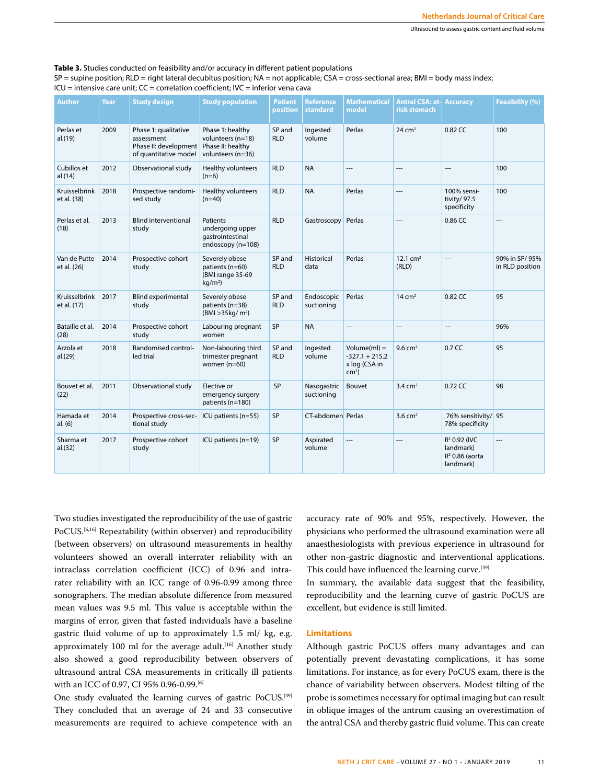**Table 3.** Studies conducted on feasibility and/or accuracy in different patient populations

| $SP =$ supine position; RLD = right lateral decubitus position; NA = not applicable; CSA = cross-sectional area; BMI = body mass index; |  |  |
|-----------------------------------------------------------------------------------------------------------------------------------------|--|--|
|-----------------------------------------------------------------------------------------------------------------------------------------|--|--|

| Author                       | Year | <b>Study design</b>                                                                  | <b>Study population</b>                                                         | <b>Patient</b><br>position | <b>Reference</b><br>standard | <b>Mathematical</b><br>model                                   | <b>Antral CSA: at-</b><br><b>risk stomach</b> | <b>Accuracy</b>                                                         | Feasibility (%)                  |
|------------------------------|------|--------------------------------------------------------------------------------------|---------------------------------------------------------------------------------|----------------------------|------------------------------|----------------------------------------------------------------|-----------------------------------------------|-------------------------------------------------------------------------|----------------------------------|
| Perlas et<br>al.(19)         | 2009 | Phase 1: qualitative<br>assessment<br>Phase II: development<br>of quantitative model | Phase 1: healthy<br>volunteers (n=18)<br>Phase II: healthy<br>volunteers (n=36) | SP and<br><b>RLD</b>       | Ingested<br>volume           | Perlas                                                         | 24 $cm2$                                      | 0.82 CC                                                                 | 100                              |
| Cubillos et<br>al.(14)       | 2012 | Observational study                                                                  | Healthy volunteers<br>$(n=6)$                                                   | <b>RLD</b>                 | <b>NA</b>                    | ---                                                            | ---                                           | ---                                                                     | 100                              |
| Kruisselbrink<br>et al. (38) | 2018 | Prospective randomi-<br>sed study                                                    | Healthy volunteers<br>$(n=40)$                                                  | <b>RLD</b>                 | <b>NA</b>                    | Perlas                                                         | ---                                           | 100% sensi-<br>tivity/ 97.5<br>specificity                              | 100                              |
| Perlas et al.<br>(18)        | 2013 | <b>Blind interventional</b><br>study                                                 | <b>Patients</b><br>undergoing upper<br>qastrointestinal<br>endoscopy (n=108)    | <b>RLD</b>                 | Gastroscopy                  | Perlas                                                         | ---                                           | 0.86 CC                                                                 | $\overline{\phantom{a}}$         |
| Van de Putte<br>et al. (26)  | 2014 | Prospective cohort<br>study                                                          | Severely obese<br>patients (n=60)<br>(BMI range 35-69<br>kg/m <sup>2</sup>      | SP and<br><b>RLD</b>       | Historical<br>data           | Perlas                                                         | 12.1 $cm2$<br>(RLD)                           | ---                                                                     | 90% in SP/95%<br>in RLD position |
| Kruisselbrink<br>et al. (17) | 2017 | <b>Blind experimental</b><br>study                                                   | Severely obese<br>patients (n=38)<br>(BMI > 35kg/m <sup>2</sup> )               | SP and<br><b>RLD</b>       | Endoscopic<br>suctioning     | Perlas                                                         | $14 \text{ cm}^2$                             | 0.82 CC                                                                 | 95                               |
| Bataille et al.<br>(28)      | 2014 | Prospective cohort<br>study                                                          | Labouring pregnant<br>women                                                     | SP                         | <b>NA</b>                    | ---                                                            | $---$                                         | ---                                                                     | 96%                              |
| Arzola et<br>al.(29)         | 2018 | Randomised control-<br>led trial                                                     | Non-labouring third<br>trimester pregnant<br>women $(n=60)$                     | SP and<br><b>RLD</b>       | Ingested<br>volume           | $Volume(ml) =$<br>$-327.1 + 215.2$<br>x log (CSA in<br>$cm2$ ) | 9.6 $cm2$                                     | 0.7 <sub>CC</sub>                                                       | 95                               |
| Bouvet et al.<br>(22)        | 2011 | Observational study                                                                  | Elective or<br>emergency surgery<br>patients (n=180)                            | SP                         | Nasogastric<br>suctioning    | Bouvet                                                         | $3.4 \text{ cm}^2$                            | 0.72 CC                                                                 | 98                               |
| Hamada et<br>al. (6)         | 2014 | Prospective cross-sec-<br>tional study                                               | ICU patients (n=55)                                                             | SP                         | CT-abdomen Perlas            |                                                                | $3.6$ cm <sup>2</sup>                         | 76% sensitivity/ 95<br>78% specificity                                  |                                  |
| Sharma et<br>al.(32)         | 2017 | Prospective cohort<br>study                                                          | ICU patients (n=19)                                                             | SP                         | Aspirated<br>volume          | $\overline{\phantom{a}}$                                       | ---                                           | R <sup>2</sup> 0.92 (IVC<br>landmark)<br>$R^2$ 0.86 (aorta<br>landmark) | ---                              |

ICU = intensive care unit; CC = correlation coefficient; IVC = inferior vena cava

Two studies investigated the reproducibility of the use of gastric PoCUS.<sup>[6,16]</sup> Repeatability (within observer) and reproducibility (between observers) on ultrasound measurements in healthy volunteers showed an overall interrater reliability with an intraclass correlation coefficient (ICC) of 0.96 and intrarater reliability with an ICC range of 0.96-0.99 among three sonographers. The median absolute difference from measured mean values was 9.5 ml. This value is acceptable within the margins of error, given that fasted individuals have a baseline gastric fluid volume of up to approximately 1.5 ml/ kg, e.g. approximately 100 ml for the average adult.<sup>[16]</sup> Another study also showed a good reproducibility between observers of ultrasound antral CSA measurements in critically ill patients with an ICC of 0.97, CI 95% 0.96-0.99.[6]

One study evaluated the learning curves of gastric PoCUS.<sup>[39]</sup> They concluded that an average of 24 and 33 consecutive measurements are required to achieve competence with an

accuracy rate of 90% and 95%, respectively. However, the physicians who performed the ultrasound examination were all anaesthesiologists with previous experience in ultrasound for other non-gastric diagnostic and interventional applications. This could have influenced the learning curve.<sup>[39]</sup>

In summary, the available data suggest that the feasibility, reproducibility and the learning curve of gastric PoCUS are excellent, but evidence is still limited.

### **Limitations**

Although gastric PoCUS offers many advantages and can potentially prevent devastating complications, it has some limitations. For instance, as for every PoCUS exam, there is the chance of variability between observers. Modest tilting of the probe is sometimes necessary for optimal imaging but can result in oblique images of the antrum causing an overestimation of the antral CSA and thereby gastric fluid volume. This can create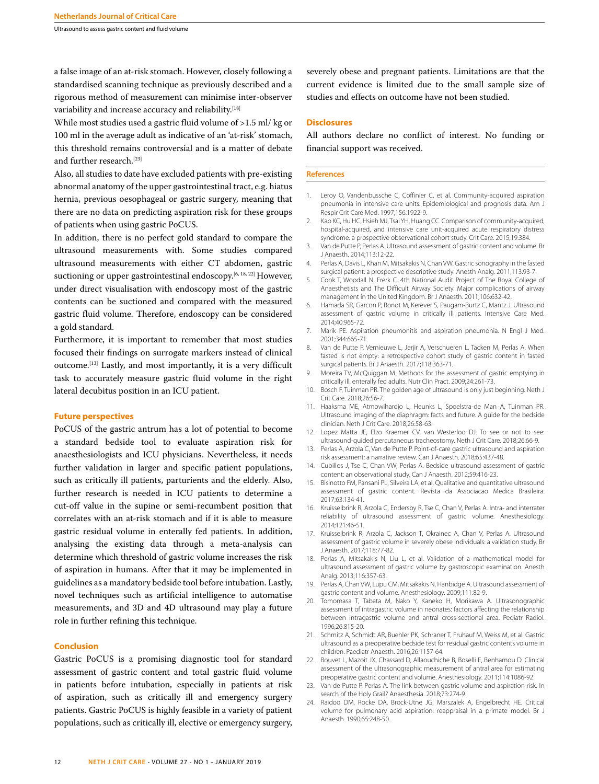Ultrasound to assess gastric content and fluid volume

a false image of an at-risk stomach. However, closely following a standardised scanning technique as previously described and a rigorous method of measurement can minimise inter-observer variability and increase accuracy and reliability.[18]

While most studies used a gastric fluid volume of >1.5 ml/ kg or 100 ml in the average adult as indicative of an 'at-risk' stomach, this threshold remains controversial and is a matter of debate and further research.<sup>[23]</sup>

Also, all studies to date have excluded patients with pre-existing abnormal anatomy of the upper gastrointestinal tract, e.g. hiatus hernia, previous oesophageal or gastric surgery, meaning that there are no data on predicting aspiration risk for these groups of patients when using gastric PoCUS.

In addition, there is no perfect gold standard to compare the ultrasound measurements with. Some studies compared ultrasound measurements with either CT abdomen, gastric suctioning or upper gastrointestinal endoscopy.<sup>[6, 18, 22]</sup> However, under direct visualisation with endoscopy most of the gastric contents can be suctioned and compared with the measured gastric fluid volume. Therefore, endoscopy can be considered a gold standard.

Furthermore, it is important to remember that most studies focused their findings on surrogate markers instead of clinical outcome.[13] Lastly, and most importantly, it is a very difficult task to accurately measure gastric fluid volume in the right lateral decubitus position in an ICU patient.

## **Future perspectives**

PoCUS of the gastric antrum has a lot of potential to become a standard bedside tool to evaluate aspiration risk for anaesthesiologists and ICU physicians. Nevertheless, it needs further validation in larger and specific patient populations, such as critically ill patients, parturients and the elderly. Also, further research is needed in ICU patients to determine a cut-off value in the supine or semi-recumbent position that correlates with an at-risk stomach and if it is able to measure gastric residual volume in enterally fed patients. In addition, analysing the existing data through a meta-analysis can determine which threshold of gastric volume increases the risk of aspiration in humans. After that it may be implemented in guidelines as a mandatory bedside tool before intubation. Lastly, novel techniques such as artificial intelligence to automatise measurements, and 3D and 4D ultrasound may play a future role in further refining this technique.

## **Conclusion**

Gastric PoCUS is a promising diagnostic tool for standard assessment of gastric content and total gastric fluid volume in patients before intubation, especially in patients at risk of aspiration, such as critically ill and emergency surgery patients. Gastric PoCUS is highly feasible in a variety of patient populations, such as critically ill, elective or emergency surgery,

severely obese and pregnant patients. Limitations are that the current evidence is limited due to the small sample size of studies and effects on outcome have not been studied.

#### **Disclosures**

All authors declare no conflict of interest. No funding or financial support was received.

#### **References**

- 1. Leroy O, Vandenbussche C, Coffinier C, et al. Community-acquired aspiration pneumonia in intensive care units. Epidemiological and prognosis data. Am J Respir Crit Care Med. 1997;156:1922-9.
- 2. Kao KC, Hu HC, Hsieh MJ, Tsai YH, Huang CC. Comparison of community-acquired, hospital-acquired, and intensive care unit-acquired acute respiratory distress syndrome: a prospective observational cohort study. Crit Care. 2015;19:384.
- 3. Van de Putte P, Perlas A. Ultrasound assessment of gastric content and volume. Br J Anaesth. 2014;113:12-22.
- 4. Perlas A, Davis L, Khan M, Mitsakakis N, Chan VW. Gastric sonography in the fasted surgical patient: a prospective descriptive study. Anesth Analg. 2011;113:93-7.
- 5. Cook T, Woodall N, Frerk C. 4th National Audit Project of The Royal College of Anaesthetists and The Difficult Airway Society. Major complications of airway management in the United Kingdom. Br J Anaesth. 2011;106:632-42.
- 6. Hamada SR, Garcon P, Ronot M, Kerever S, Paugam-Burtz C, Mantz J. Ultrasound assessment of gastric volume in critically ill patients. Intensive Care Med. 2014;40:965-72.
- 7. Marik PE. Aspiration pneumonitis and aspiration pneumonia. N Engl J Med. 2001;344:665-71.
- 8. Van de Putte P, Vernieuwe L, Jerjir A, Verschueren L, Tacken M, Perlas A. When fasted is not empty: a retrospective cohort study of gastric content in fasted surgical patients. Br J Anaesth. 2017;118:363-71.
- 9. Moreira TV, McQuiggan M. Methods for the assessment of gastric emptying in critically ill, enterally fed adults. Nutr Clin Pract. 2009;24:261-73.
- 10. Bosch F, Tuinman PR. The golden age of ultrasound is only just beginning. Neth J Crit Care. 2018;26:56-7.
- 11. Haaksma ME, Atmowihardjo L, Heunks L, Spoelstra-de Man A, Tuinman PR. Ultrasound imaging of the diaphragm: facts and future. A guide for the bedside clinician. Neth J Crit Care. 2018;26:58-63.
- 12. Lopez Matta JE, Elzo Kraemer CV, van Westerloo DJ. To see or not to see: ultrasound-guided percutaneous tracheostomy. Neth J Crit Care. 2018;26:66-9.
- 13. Perlas A, Arzola C, Van de Putte P. Point-of-care gastric ultrasound and aspiration risk assessment: a narrative review. Can J Anaesth. 2018;65:437-48.
- 14. Cubillos J, Tse C, Chan VW, Perlas A. Bedside ultrasound assessment of gastric content: an observational study. Can J Anaesth. 2012;59:416-23.
- 15. Bisinotto FM, Pansani PL, Silveira LA, et al. Qualitative and quantitative ultrasound assessment of gastric content. Revista da Associacao Medica Brasileira. 2017;63:134-41.
- 16. Kruisselbrink R, Arzola C, Endersby R, Tse C, Chan V, Perlas A. Intra- and interrater reliability of ultrasound assessment of gastric volume. Anesthesiology. 2014;121:46-51.
- 17. Kruisselbrink R, Arzola C, Jackson T, Okrainec A, Chan V, Perlas A. Ultrasound assessment of gastric volume in severely obese individuals: a validation study. Br J Anaesth. 2017;118:77-82.
- 18. Perlas A, Mitsakakis N, Liu L, et al. Validation of a mathematical model for ultrasound assessment of gastric volume by gastroscopic examination. Anesth Analg. 2013;116:357-63.
- 19. Perlas A, Chan VW, Lupu CM, Mitsakakis N, Hanbidge A. Ultrasound assessment of gastric content and volume. Anesthesiology. 2009;111:82-9.
- 20. Tomomasa T, Tabata M, Nako Y, Kaneko H, Morikawa A. Ultrasonographic assessment of intragastric volume in neonates: factors affecting the relationship between intragastric volume and antral cross-sectional area. Pediatr Radiol. 1996;26:815-20.
- 21. Schmitz A, Schmidt AR, Buehler PK, Schraner T, Fruhauf M, Weiss M, et al. Gastric ultrasound as a preoperative bedside test for residual gastric contents volume in children. Paediatr Anaesth. 2016;26:1157-64.
- 22. Bouvet L, Mazoit JX, Chassard D, Allaouchiche B, Boselli E, Benhamou D. Clinical assessment of the ultrasonographic measurement of antral area for estimating preoperative gastric content and volume. Anesthesiology. 2011;114:1086-92.
- 23. Van de Putte P, Perlas A. The link between gastric volume and aspiration risk. In search of the Holy Grail? Anaesthesia. 2018;73:274-9.
- 24. Raidoo DM, Rocke DA, Brock-Utne JG, Marszalek A, Engelbrecht HE. Critical volume for pulmonary acid aspiration: reappraisal in a primate model. Br J Anaesth. 1990;65:248-50.